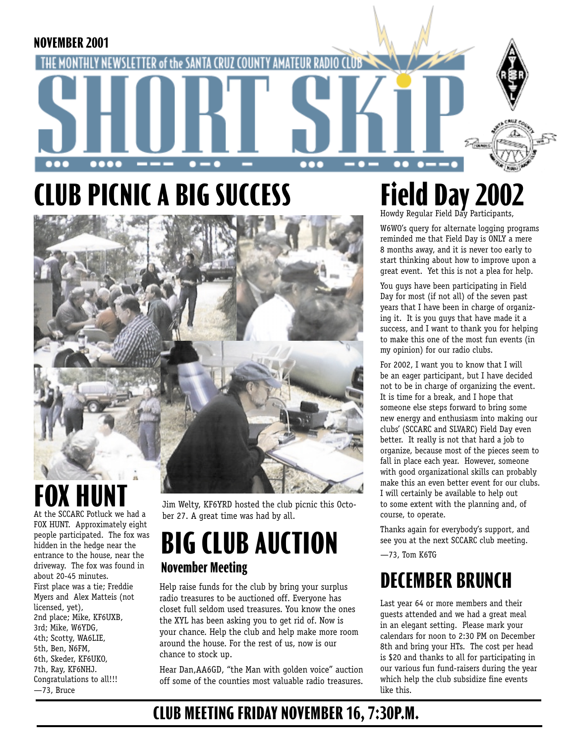

# **CLUB PICNIC A BIG SUCCESS**



# **FOX HUN**

At the SCCARC Potluck we had a FOX HUNT. Approximately eight people participated. The fox was hidden in the hedge near the entrance to the house, near the driveway. The fox was found in about 20-45 minutes. First place was a tie; Freddie Myers and Alex Matteis (not licensed, yet), 2nd place; Mike, KF6UXB, 3rd; Mike, W6YDG, 4th; Scotty, WA6LIE, 5th, Ben, N6FM, 6th, Skeder, KF6UKO, 7th, Ray, KF6NHJ. Congratulations to all!!! —73, Bruce

Jim Welty, KF6YRD hosted the club picnic this October 27. A great time was had by all.

### **BIG CLUB AUCTION November Meeting**

Help raise funds for the club by bring your surplus radio treasures to be auctioned off. Everyone has closet full seldom used treasures. You know the ones the XYL has been asking you to get rid of. Now is your chance. Help the club and help make more room around the house. For the rest of us, now is our chance to stock up.

Hear Dan,AA6GD, "the Man with golden voice" auction off some of the counties most valuable radio treasures.

# Field Day 2002

W6WO's query for alternate logging programs reminded me that Field Day is ONLY a mere 8 months away, and it is never too early to start thinking about how to improve upon a great event. Yet this is not a plea for help.

You guys have been participating in Field Day for most (if not all) of the seven past years that I have been in charge of organizing it. It is you guys that have made it a success, and I want to thank you for helping to make this one of the most fun events (in my opinion) for our radio clubs.

For 2002, I want you to know that I will be an eager participant, but I have decided not to be in charge of organizing the event. It is time for a break, and I hope that someone else steps forward to bring some new energy and enthusiasm into making our clubs' (SCCARC and SLVARC) Field Day even better. It really is not that hard a job to organize, because most of the pieces seem to fall in place each year. However, someone with good organizational skills can probably make this an even better event for our clubs. I will certainly be available to help out to some extent with the planning and, of course, to operate.

Thanks again for everybody's support, and see you at the next SCCARC club meeting.

—73, Tom K6TG

### **DECEMBER BRUNCH**

Last year 64 or more members and their guests attended and we had a great meal in an elegant setting. Please mark your calendars for noon to 2:30 PM on December 8th and bring your HTs. The cost per head is \$20 and thanks to all for participating in our various fun fund-raisers during the year which help the club subsidize fine events like this.

### **CLUB MEETING FRIDAY NOVEMBER 16, 7:30P.M.**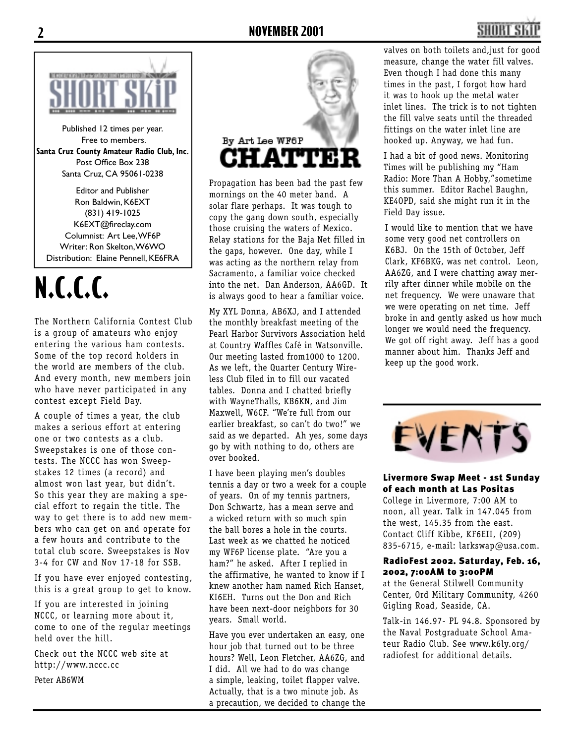



Published 12 times per year. Free to members. **Santa Cruz County Amateur Radio Club, Inc.** Post Office Box 238 Santa Cruz, CA 95061-0238

Editor and Publisher Ron Baldwin, K6EXT (831) 419-1025 K6EXT@fireclay.com Columnist: Art Lee, WF6P Writer: Ron Skelton, W6WO Distribution: Elaine Pennell, KE6FRA

## **N.C.C.C.**

The Northern California Contest Club is a group of amateurs who enjoy entering the various ham contests. Some of the top record holders in the world are members of the club. And every month, new members join who have never participated in any contest except Field Day.

A couple of times a year, the club makes a serious effort at entering one or two contests as a club. Sweepstakes is one of those contests. The NCCC has won Sweepstakes 12 times (a record) and almost won last year, but didn't. So this year they are making a special effort to regain the title. The way to get there is to add new members who can get on and operate for a few hours and contribute to the total club score. Sweepstakes is Nov 3-4 for CW and Nov 17-18 for SSB.

If you have ever enjoyed contesting, this is a great group to get to know.

If you are interested in joining NCCC, or learning more about it, come to one of the regular meetings held over the hill.

Check out the NCCC web site at http://www.nccc.cc

Peter AB6WM



Propagation has been bad the past few mornings on the 40 meter band. A solar flare perhaps. It was tough to copy the gang down south, especially those cruising the waters of Mexico. Relay stations for the Baja Net filled in the gaps, however. One day, while I was acting as the northern relay from Sacramento, a familiar voice checked into the net. Dan Anderson, AA6GD. It is always good to hear a familiar voice.

My XYL Donna, AB6XJ, and I attended the monthly breakfast meeting of the Pearl Harbor Survivors Association held at Country Waffles Café in Watsonville. Our meeting lasted from1000 to 1200. As we left, the Quarter Century Wireless Club filed in to fill our vacated tables. Donna and I chatted briefly with WayneThalls, KB6KN, and Jim Maxwell, W6CF. "We're full from our earlier breakfast, so can't do two!" we said as we departed. Ah yes, some days go by with nothing to do, others are over booked.

I have been playing men's doubles tennis a day or two a week for a couple of years. On of my tennis partners, Don Schwartz, has a mean serve and a wicked return with so much spin the ball bores a hole in the courts. Last week as we chatted he noticed my WF6P license plate. "Are you a ham?" he asked. After I replied in the affirmative, he wanted to know if I knew another ham named Rich Hanset, KI6EH. Turns out the Don and Rich have been next-door neighbors for 30 years. Small world.

Have you ever undertaken an easy, one hour job that turned out to be three hours? Well, Leon Fletcher, AA6ZG, and I did. All we had to do was change a simple, leaking, toilet flapper valve. Actually, that is a two minute job. As a precaution, we decided to change the valves on both toilets and,just for good measure, change the water fill valves. Even though I had done this many times in the past, I forgot how hard it was to hook up the metal water inlet lines. The trick is to not tighten the fill valve seats until the threaded fittings on the water inlet line are hooked up. Anyway, we had fun.

I had a bit of good news. Monitoring Times will be publishing my "Ham Radio: More Than A Hobby,"sometime this summer. Editor Rachel Baughn, KE4OPD, said she might run it in the Field Day issue.

I would like to mention that we have some very good net controllers on K6BJ. On the 15th of October, Jeff Clark, KF6BKG, was net control. Leon, AA6ZG, and I were chatting away merrily after dinner while mobile on the net frequency. We were unaware that we were operating on net time. Jeff broke in and gently asked us how much longer we would need the frequency. We got off right away. Jeff has a good manner about him. Thanks Jeff and keep up the good work.



Livermore Swap Meet - 1st Sunday of each month at Las Positas College in Livermore, 7:00 AM to noon, all year. Talk in 147.045 from the west, 145.35 from the east. Contact Cliff Kibbe, KF6EII, (209) 835-6715, e-mail: larkswap@usa.com.

#### RadioFest 2002. Saturday, Feb. 16, 2002, 7:00AM to 3:00PM

at the General Stilwell Community Center, Ord Military Community, 4260 Gigling Road, Seaside, CA.

Talk-in 146.97- PL 94.8. Sponsored by the Naval Postgraduate School Amateur Radio Club. See www.k6ly.org/ radiofest for additional details.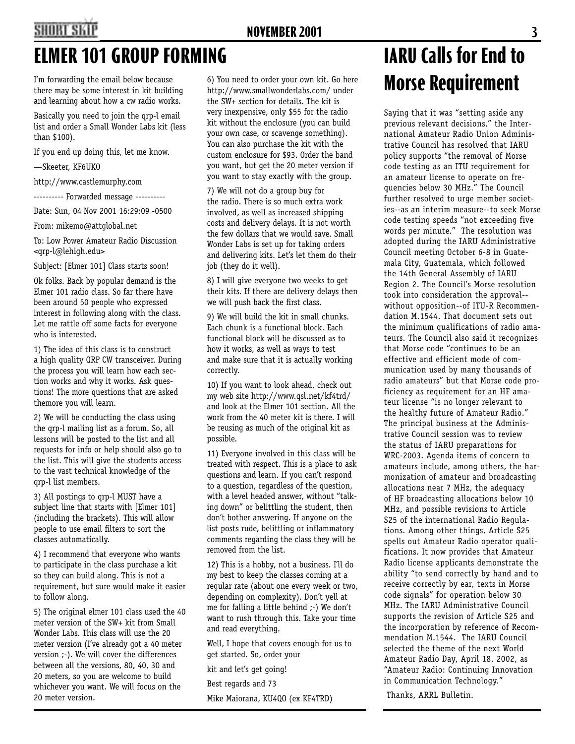# **SHORT SKI**

### I'm forwarding the email below because there may be some interest in kit building

and learning about how a cw radio works. Basically you need to join the qrp-l email list and order a Small Wonder Labs kit (less than \$100).

If you end up doing this, let me know.

—Skeeter, KF6UKO

http://www.castlemurphy.com

---------- Forwarded message ----------

Date: Sun, 04 Nov 2001 16:29:09 -0500

From: mikemo@attglobal.net

To: Low Power Amateur Radio Discussion <qrp-l@lehigh.edu>

Subject: [Elmer 101] Class starts soon!

Ok folks. Back by popular demand is the Elmer 101 radio class. So far there have been around 50 people who expressed interest in following along with the class. Let me rattle off some facts for everyone who is interested.

1) The idea of this class is to construct a high quality QRP CW transceiver. During the process you will learn how each section works and why it works. Ask questions! The more questions that are asked themore you will learn.

2) We will be conducting the class using the qrp-l mailing list as a forum. So, all lessons will be posted to the list and all requests for info or help should also go to the list. This will give the students access to the vast technical knowledge of the qrp-l list members.

3) All postings to qrp-l MUST have a subject line that starts with [Elmer 101] (including the brackets). This will allow people to use email filters to sort the classes automatically.

4) I recommend that everyone who wants to participate in the class purchase a kit so they can build along. This is not a requirement, but sure would make it easier to follow along.

5) The original elmer 101 class used the 40 meter version of the SW+ kit from Small Wonder Labs. This class will use the 20 meter version (I've already got a 40 meter version ;-). We will cover the differences between all the versions, 80, 40, 30 and 20 meters, so you are welcome to build whichever you want. We will focus on the 20 meter version.

6) You need to order your own kit. Go here http://www.smallwonderlabs.com/ under the SW+ section for details. The kit is very inexpensive, only \$55 for the radio kit without the enclosure (you can build your own case, or scavenge something). You can also purchase the kit with the custom enclosure for \$93. Order the band you want, but get the 20 meter version if you want to stay exactly with the group.

7) We will not do a group buy for the radio. There is so much extra work involved, as well as increased shipping costs and delivery delays. It is not worth the few dollars that we would save. Small Wonder Labs is set up for taking orders and delivering kits. Let's let them do their job (they do it well).

8) I will give everyone two weeks to get their kits. If there are delivery delays then we will push back the first class.

9) We will build the kit in small chunks. Each chunk is a functional block. Each functional block will be discussed as to how it works, as well as ways to test and make sure that it is actually working correctly.

10) If you want to look ahead, check out my web site http://www.qsl.net/kf4trd/ and look at the Elmer 101 section. All the work from the 40 meter kit is there. I will be reusing as much of the original kit as possible.

11) Everyone involved in this class will be treated with respect. This is a place to ask questions and learn. If you can't respond to a question, regardless of the question, with a level headed answer, without "talking down" or belittling the student, then don't bother answering. If anyone on the list posts rude, belittling or inflammatory comments regarding the class they will be removed from the list.

12) This is a hobby, not a business. I'll do my best to keep the classes coming at a regular rate (about one every week or two, depending on complexity). Don't yell at me for falling a little behind ;-) We don't want to rush through this. Take your time and read everything.

Well, I hope that covers enough for us to get started. So, order your

kit and let's get going!

Best regards and 73

Mike Maiorana, KU4QO (ex KF4TRD)

## ELMER 101 GROUP FORMING **IARU Calls for End to Morse Requirement**

Saying that it was "setting aside any previous relevant decisions," the International Amateur Radio Union Administrative Council has resolved that IARU policy supports "the removal of Morse code testing as an ITU requirement for an amateur license to operate on frequencies below 30 MHz." The Council further resolved to urge member societies--as an interim measure--to seek Morse code testing speeds "not exceeding five words per minute." The resolution was adopted during the IARU Administrative Council meeting October 6-8 in Guatemala City, Guatemala, which followed the 14th General Assembly of IARU Region 2. The Council's Morse resolution took into consideration the approval- without opposition--of ITU-R Recommendation M.1544. That document sets out the minimum qualifications of radio amateurs. The Council also said it recognizes that Morse code "continues to be an effective and efficient mode of communication used by many thousands of radio amateurs" but that Morse code proficiency as requirement for an HF amateur license "is no longer relevant to the healthy future of Amateur Radio." The principal business at the Administrative Council session was to review the status of IARU preparations for WRC-2003. Agenda items of concern to amateurs include, among others, the harmonization of amateur and broadcasting allocations near 7 MHz, the adequacy of HF broadcasting allocations below 10 MHz, and possible revisions to Article S25 of the international Radio Regulations. Among other things, Article S25 spells out Amateur Radio operator qualifications. It now provides that Amateur Radio license applicants demonstrate the ability "to send correctly by hand and to receive correctly by ear, texts in Morse code signals" for operation below 30 MHz. The IARU Administrative Council supports the revision of Article S25 and the incorporation by reference of Recommendation M.1544. The IARU Council selected the theme of the next World Amateur Radio Day, April 18, 2002, as "Amateur Radio: Continuing Innovation in Communication Technology."

Thanks, ARRL Bulletin.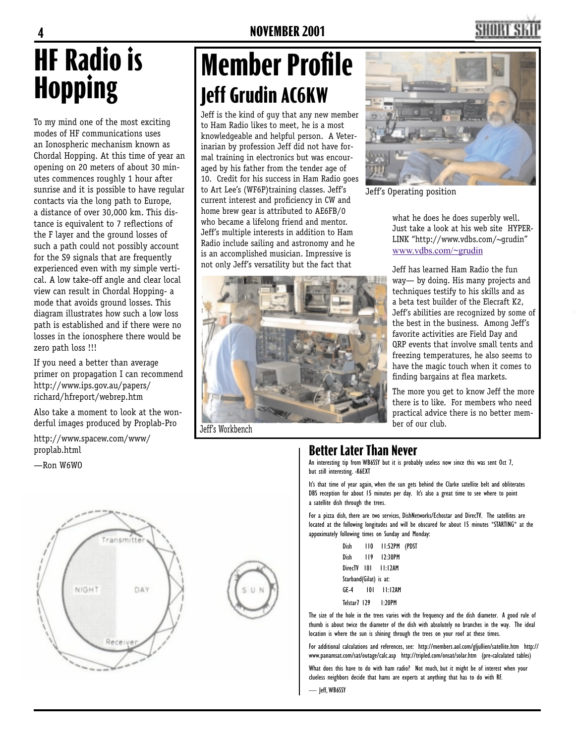# **HF Radio is Hopping**

To my mind one of the most exciting modes of HF communications uses an Ionospheric mechanism known as Chordal Hopping. At this time of year an opening on 20 meters of about 30 minutes commences roughly 1 hour after sunrise and it is possible to have regular contacts via the long path to Europe, a distance of over 30,000 km. This distance is equivalent to 7 reflections of the F layer and the ground losses of such a path could not possibly account for the S9 signals that are frequently experienced even with my simple vertical. A low take-off angle and clear local view can result in Chordal Hopping- a mode that avoids ground losses. This diagram illustrates how such a low loss path is established and if there were no losses in the ionosphere there would be zero path loss !!!

If you need a better than average primer on propagation I can recommend http://www.ips.gov.au/papers/ richard/hfreport/webrep.htm

Also take a moment to look at the wonderful images produced by Proplab-Pro

http://www.spacew.com/www/ proplab.html

#### —Ron W6WO



## **Member Profile Jeff Grudin AC6KW**

Jeff is the kind of guy that any new member to Ham Radio likes to meet, he is a most knowledgeable and helpful person. A Veterinarian by profession Jeff did not have formal training in electronics but was encouraged by his father from the tender age of 10. Credit for his success in Ham Radio goes to Art Lee's (WF6P)training classes. Jeff's current interest and proficiency in CW and home brew gear is attributed to AE6FB/0 who became a lifelong friend and mentor. Jeff's multiple interests in addition to Ham Radio include sailing and astronomy and he is an accomplished musician. Impressive is not only Jeff's versatility but the fact that



Jeff's Workbench



SHORT S

Jeff's Operating position

what he does he does superbly well. Just take a look at his web site HYPER-LINK "http://www.vdbs.com/~grudin" www.vdbs.com/~grudin

Jeff has learned Ham Radio the fun way— by doing. His many projects and techniques testify to his skills and as a beta test builder of the Elecraft K2, Jeff's abilities are recognized by some of the best in the business. Among Jeff's favorite activities are Field Day and QRP events that involve small tents and freezing temperatures, he also seems to have the magic touch when it comes to finding bargains at flea markets.

The more you get to know Jeff the more there is to like. For members who need practical advice there is no better member of our club.

### **Better Later Than Never**

An interesting tip from WB6SSY but it is probably useless now since this was sent Oct 7, but still interesting. -K6EXT

It's that time of year again, when the sun gets behind the Clarke satellite belt and obliterates DBS reception for about 15 minutes per day. It's also a great time to see where to point a satellite dish through the trees.

For a pizza dish, there are two services, DishNetworks/Echostar and DirecTV. The satellites are located at the following longitudes and will be obscured for about 15 minutes \*STARTING\* at the appoximately following times on Sunday and Monday:

| Dish                   | 110 11:52PM (PDST   |  |
|------------------------|---------------------|--|
| Dish                   | 119 12:30PM         |  |
|                        | DirecTV 101 11:12AM |  |
| Starband(Gilat) is at: |                     |  |
|                        | GE-4 101 11:12AM    |  |
|                        | Telstar7 129 1:20PM |  |

The size of the hole in the trees varies with the frequency and the dish diameter. A good rule of thumb is about twice the diameter of the dish with absolutely no branches in the way. The ideal location is where the sun is shining through the trees on your roof at these times.

For additional calculations and references, see: http://members.aol.com/gljullien/satellite.htm http:// www.panamsat.com/sat/outage/calc.asp http://tripled.com/onsat/solar.htm (pre-calculated tables)

What does this have to do with ham radio? Not much, but it might be of interest when your clueless neighbors decide that hams are experts at anything that has to do with RF.

— Jeff, WB6SSY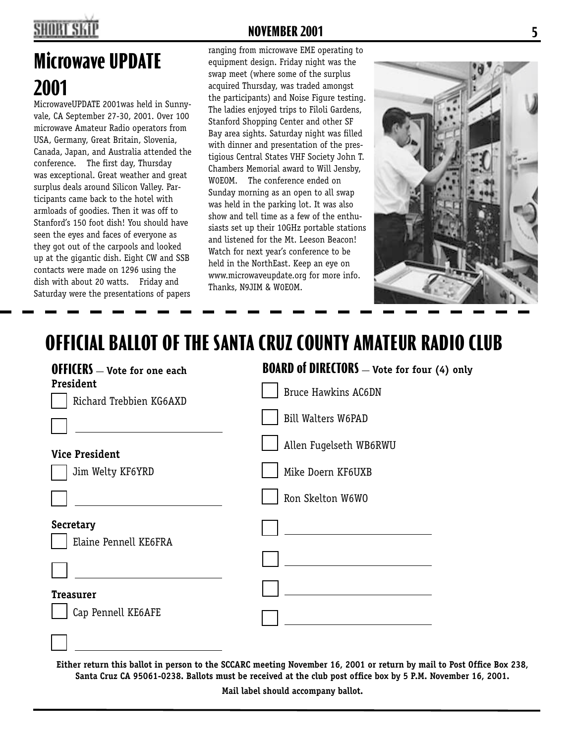## **SHORT SK**

## **Microwave UPDATE 2001**

MicrowaveUPDATE 2001was held in Sunnyvale, CA September 27-30, 2001. Over 100 microwave Amateur Radio operators from USA, Germany, Great Britain, Slovenia, Canada, Japan, and Australia attended the conference. The first day, Thursday was exceptional. Great weather and great surplus deals around Silicon Valley. Participants came back to the hotel with armloads of goodies. Then it was off to Stanford's 150 foot dish! You should have seen the eyes and faces of everyone as they got out of the carpools and looked up at the gigantic dish. Eight CW and SSB contacts were made on 1296 using the dish with about 20 watts. Friday and Saturday were the presentations of papers

#### **NOVEMBER 2001 5**

ranging from microwave EME operating to equipment design. Friday night was the swap meet (where some of the surplus acquired Thursday, was traded amongst the participants) and Noise Figure testing. The ladies enjoyed trips to Filoli Gardens, Stanford Shopping Center and other SF Bay area sights. Saturday night was filled with dinner and presentation of the prestigious Central States VHF Society John T. Chambers Memorial award to Will Jensby, W0EOM. The conference ended on Sunday morning as an open to all swap was held in the parking lot. It was also show and tell time as a few of the enthusiasts set up their 10GHz portable stations and listened for the Mt. Leeson Beacon! Watch for next year's conference to be held in the NorthEast. Keep an eye on www.microwaveupdate.org for more info. Thanks, N9JIM & W0EOM.



### **OFFICIAL BALLOT OF THE SANTA CRUZ COUNTY AMATEUR RADIO CLUB**

| <b>OFFICERS</b> - Vote for one each       | <b>BOARD of DIRECTORS</b> - Vote for four (4) only |  |  |
|-------------------------------------------|----------------------------------------------------|--|--|
| President<br>Richard Trebbien KG6AXD      | <b>Bruce Hawkins AC6DN</b>                         |  |  |
|                                           | Bill Walters W6PAD                                 |  |  |
| <b>Vice President</b>                     | Allen Fugelseth WB6RWU                             |  |  |
| Jim Welty KF6YRD                          | Mike Doern KF6UXB                                  |  |  |
|                                           | Ron Skelton W6W0                                   |  |  |
| <b>Secretary</b><br>Elaine Pennell KE6FRA |                                                    |  |  |
| <b>Treasurer</b>                          |                                                    |  |  |
| Cap Pennell KE6AFE                        |                                                    |  |  |
|                                           |                                                    |  |  |

Either return this ballot in person to the SCCARC meeting November 16, 2001 or return by mail to Post Office Box 238, Santa Cruz CA 95061-0238. Ballots must be received at the club post office box by 5 P.M. November 16, 2001.

**Mail label should accompany ballot.**